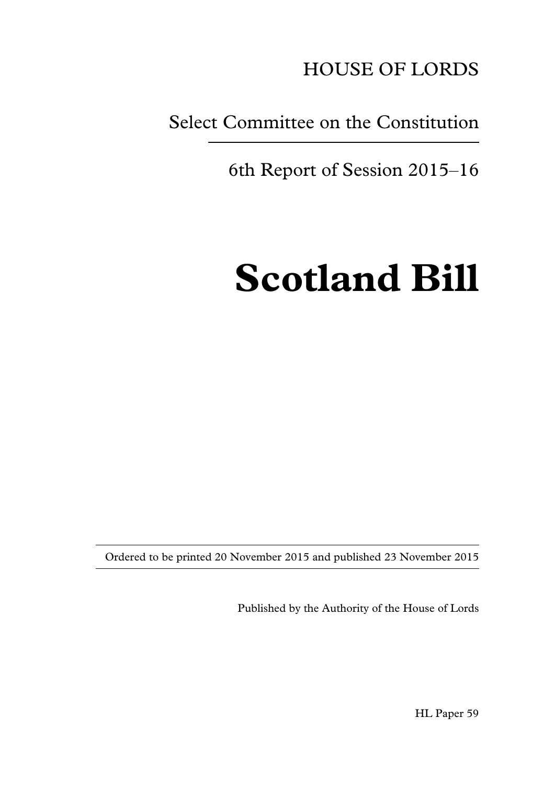# HOUSE OF LORDS

# Select Committee on the Constitution

6th Report of Session 2015-16

# **Scotland Bill**

Ordered to be printed 20 November 2015 and published 23 November 2015

Published by the Authority of the House of Lords

HL Paper 59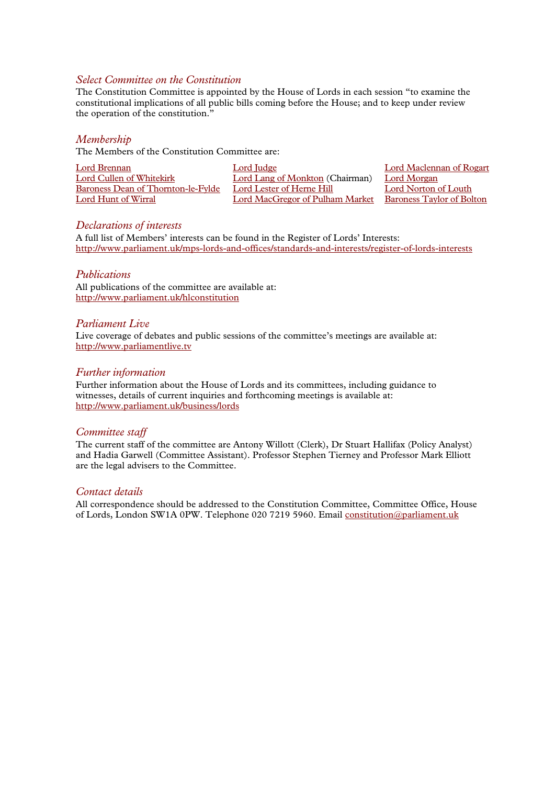#### *Select Committee on the Constitution*

The Constitution Committee is appointed by the House of Lords in each session "to examine the constitutional implications of all public bills coming before the House; and to keep under review the operation of the constitution."

#### *Membership*

The Members of the Constitution Committee are:

| Lord Brennan                       | Lord Judge                             | Lord Maclennan of Rogart  |
|------------------------------------|----------------------------------------|---------------------------|
| Lord Cullen of Whitekirk           | <b>Lord Lang of Monkton</b> (Chairman) | Lord Morgan               |
| Baroness Dean of Thornton-le-Fylde | Lord Lester of Herne Hill              | Lord Norton of Louth      |
| Lord Hunt of Wirral                | Lord MacGregor of Pulham Market        | Baroness Taylor of Bolton |

#### *Declarations of interests*

A full list of Members' interests can be found in the Register of Lords' Interests: <http://www.parliament.uk/mps-lords-and-offices/standards-and-interests/register-of-lords-interests>

#### *Publications*

All publications of the committee are available at: <http://www.parliament.uk/hlconstitution>

#### *Parliament Live*

Live coverage of debates and public sessions of the committee's meetings are available at: [http://www.parliamentlive.tv](http://www.parliamentlive.tv/)

#### *Further information*

Further information about the House of Lords and its committees, including guidance to witnesses, details of current inquiries and forthcoming meetings is available at: <http://www.parliament.uk/business/lords>

#### *Committee staff*

The current staff of the committee are Antony Willott (Clerk), Dr Stuart Hallifax (Policy Analyst) and Hadia Garwell (Committee Assistant). Professor Stephen Tierney and Professor Mark Elliott are the legal advisers to the Committee.

#### *Contact details*

All correspondence should be addressed to the Constitution Committee, Committee Office, House of Lords, London SW1A 0PW. Telephone 020 7219 5960. Email [constitution@parliament.uk](mailto:constitution@parliament.uk)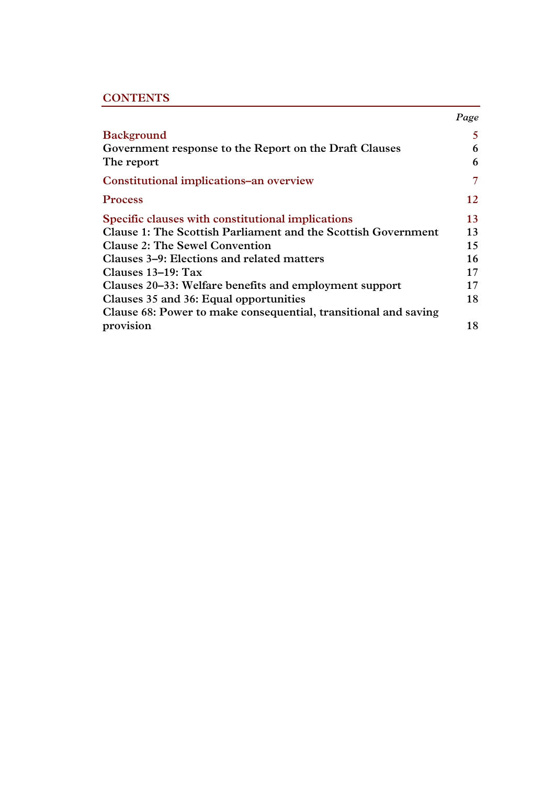# **CONTENTS**

|                                                                      | Page |
|----------------------------------------------------------------------|------|
| <b>Background</b>                                                    | 5    |
| Government response to the Report on the Draft Clauses               | 6    |
| The report                                                           | 6    |
| Constitutional implications-an overview                              | 7    |
| <b>Process</b>                                                       | 12   |
| Specific clauses with constitutional implications                    | 13   |
| <b>Clause 1: The Scottish Parliament and the Scottish Government</b> | 13   |
| <b>Clause 2: The Sewel Convention</b>                                | 15   |
| Clauses 3–9: Elections and related matters                           | 16   |
| Clauses 13–19: Tax                                                   | 17   |
| Clauses 20–33: Welfare benefits and employment support               | 17   |
| Clauses 35 and 36: Equal opportunities                               | 18   |
| Clause 68: Power to make consequential, transitional and saving      |      |
| provision                                                            | 18   |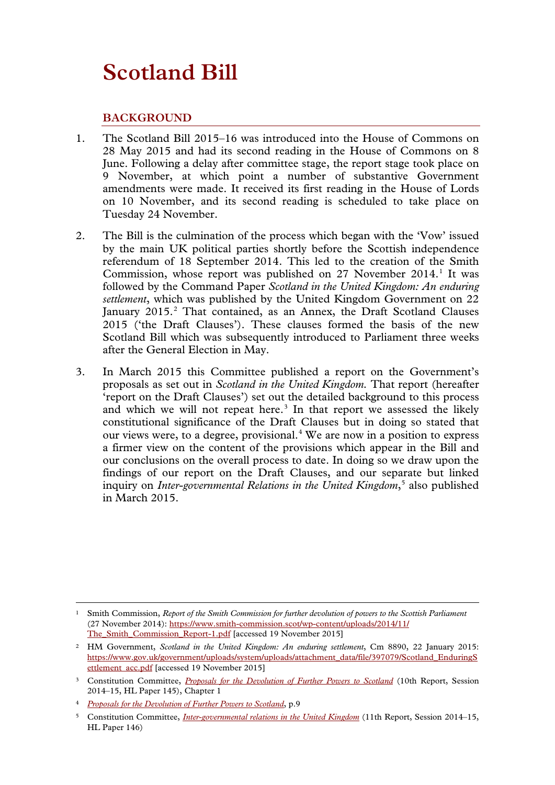# **Scotland Bill**

# **BACKGROUND**

- <span id="page-4-0"></span>1. The Scotland Bill 2015–16 was introduced into the House of Commons on 28 May 2015 and had its second reading in the House of Commons on 8 June. Following a delay after committee stage, the report stage took place on 9 November, at which point a number of substantive Government amendments were made. It received its first reading in the House of Lords on 10 November, and its second reading is scheduled to take place on Tuesday 24 November.
- 2. The Bill is the culmination of the process which began with the 'Vow' issued by the main UK political parties shortly before the Scottish independence referendum of 18 September 2014. This led to the creation of the Smith Commission, whose report was published on 27 November  $2014<sup>1</sup>$  $2014<sup>1</sup>$  $2014<sup>1</sup>$  It was followed by the Command Paper *Scotland in the United Kingdom: An enduring settlement*, which was published by the United Kingdom Government on 22 January 2015.[2](#page-4-2) That contained, as an Annex, the Draft Scotland Clauses 2015 ('the Draft Clauses'). These clauses formed the basis of the new Scotland Bill which was subsequently introduced to Parliament three weeks after the General Election in May.
- 3. In March 2015 this Committee published a report on the Government's proposals as set out in *Scotland in the United Kingdom.* That report (hereafter 'report on the Draft Clauses') set out the detailed background to this process and which we will not repeat here.<sup>[3](#page-4-3)</sup> In that report we assessed the likely constitutional significance of the Draft Clauses but in doing so stated that our views were, to a degree, provisional.[4](#page-4-4) We are now in a position to express a firmer view on the content of the provisions which appear in the Bill and our conclusions on the overall process to date. In doing so we draw upon the findings of our report on the Draft Clauses, and our separate but linked inquiry on *Inter-governmental Relations in the United Kingdom*, [5](#page-4-5) also published in March 2015.

<span id="page-4-1"></span> <sup>1</sup> Smith Commission, *Report of the Smith Commission for further devolution of powers to the Scottish Parliament*  (27 November 2014): [https://www.smith-commission.scot/wp-content/uploads/2014/11/](https://www.smith-commission.scot/wp-content/uploads/2014/11/The_Smith_Commission_Report-1.pdf) The Smith Commission Report-1.pdf [accessed 19 November 2015]

<span id="page-4-2"></span><sup>2</sup> HM Government, *Scotland in the United Kingdom: An enduring settlement*, Cm 8890, 22 January 2015: [https://www.gov.uk/government/uploads/system/uploads/attachment\\_data/file/397079/Scotland\\_EnduringS](https://www.gov.uk/government/uploads/system/uploads/attachment_data/file/397079/Scotland_EnduringSettlement_acc.pdf) [ettlement\\_acc.pdf](https://www.gov.uk/government/uploads/system/uploads/attachment_data/file/397079/Scotland_EnduringSettlement_acc.pdf) [accessed 19 November 2015]

<span id="page-4-3"></span><sup>3</sup> Constitution Committee, *[Proposals for the Devolution of Further Powers to Scotland](http://www.publications.parliament.uk/pa/ld201415/ldselect/ldconst/145/14502.htm)* (10th Report, Session 2014–15, HL Paper 145), Chapter 1

<span id="page-4-4"></span><sup>4</sup> *[Proposals for the Devolution of Further Powers to Scotland](http://www.publications.parliament.uk/pa/ld201415/ldselect/ldconst/145/14502.htm)*, p.9

<span id="page-4-5"></span><sup>5</sup> Constitution Committee, *[Inter-governmental relations in the United Kingdom](http://www.publications.parliament.uk/pa/ld201415/ldselect/ldconst/146/14602.htm)* (11th Report, Session 2014–15, HL Paper 146)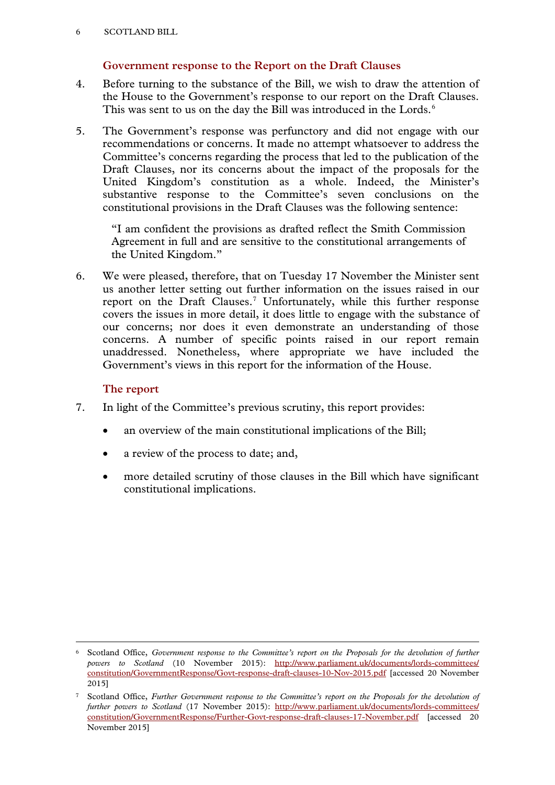# **Government response to the Report on the Draft Clauses**

- <span id="page-5-0"></span>4. Before turning to the substance of the Bill, we wish to draw the attention of the House to the Government's response to our report on the Draft Clauses. This was sent to us on the day the Bill was introduced in the Lords.<sup>[6](#page-5-2)</sup>
- 5. The Government's response was perfunctory and did not engage with our recommendations or concerns. It made no attempt whatsoever to address the Committee's concerns regarding the process that led to the publication of the Draft Clauses, nor its concerns about the impact of the proposals for the United Kingdom's constitution as a whole. Indeed, the Minister's substantive response to the Committee's seven conclusions on the constitutional provisions in the Draft Clauses was the following sentence:

"I am confident the provisions as drafted reflect the Smith Commission Agreement in full and are sensitive to the constitutional arrangements of the United Kingdom."

6. We were pleased, therefore, that on Tuesday 17 November the Minister sent us another letter setting out further information on the issues raised in our report on the Draft Clauses.<sup>[7](#page-5-3)</sup> Unfortunately, while this further response covers the issues in more detail, it does little to engage with the substance of our concerns; nor does it even demonstrate an understanding of those concerns. A number of specific points raised in our report remain unaddressed. Nonetheless, where appropriate we have included the Government's views in this report for the information of the House.

## **The report**

- <span id="page-5-1"></span>7. In light of the Committee's previous scrutiny, this report provides:
	- an overview of the main constitutional implications of the Bill;
	- a review of the process to date; and,
	- more detailed scrutiny of those clauses in the Bill which have significant constitutional implications.

<span id="page-5-2"></span> <sup>6</sup> Scotland Office, *Government response to the Committee's report on the Proposals for the devolution of further powers to Scotland* (10 November 2015): [http://www.parliament.uk/documents/lords-committees/](http://www.parliament.uk/documents/lords-committees/constitution/GovernmentResponse/Govt-response-draft-clauses-10-Nov-2015.pdf) [constitution/GovernmentResponse/Govt-response-draft-clauses-10-Nov-2015.pdf](http://www.parliament.uk/documents/lords-committees/constitution/GovernmentResponse/Govt-response-draft-clauses-10-Nov-2015.pdf) [accessed 20 November 2015]

<span id="page-5-3"></span><sup>7</sup> Scotland Office, *Further Government response to the Committee's report on the Proposals for the devolution of further powers to Scotland* (17 November 2015): [http://www.parliament.uk/documents/lords-committees/](http://www.parliament.uk/documents/lords-committees/constitution/GovernmentResponse/Further-Govt-response-draft-clauses-17-November.pdf) [constitution/GovernmentResponse/Further-Govt-response-draft-clauses-17-November.pdf](http://www.parliament.uk/documents/lords-committees/constitution/GovernmentResponse/Further-Govt-response-draft-clauses-17-November.pdf) [accessed 20 November 2015]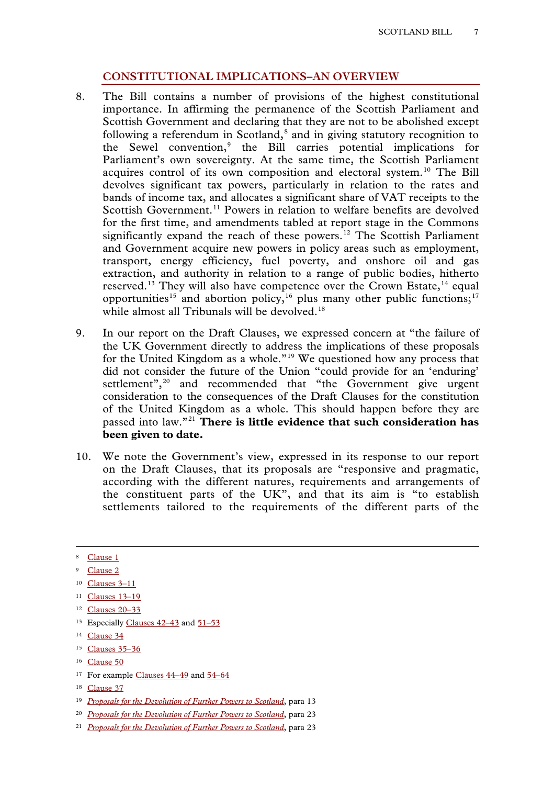# <span id="page-6-0"></span>**CONSTITUTIONAL IMPLICATIONS–AN OVERVIEW**

- 8. The Bill contains a number of provisions of the highest constitutional importance. In affirming the permanence of the Scottish Parliament and Scottish Government and declaring that they are not to be abolished except following a referendum in Scotland,<sup>[8](#page-6-1)</sup> and in giving statutory recognition to the Sewel convention,<sup>[9](#page-6-2)</sup> the Bill carries potential implications for Parliament's own sovereignty. At the same time, the Scottish Parliament acquires control of its own composition and electoral system.<sup>[10](#page-6-3)</sup> The Bill devolves significant tax powers, particularly in relation to the rates and bands of income tax, and allocates a significant share of VAT receipts to the Scottish Government.<sup>[11](#page-6-4)</sup> Powers in relation to welfare benefits are devolved for the first time, and amendments tabled at report stage in the Commons significantly expand the reach of these powers.<sup>[12](#page-6-5)</sup> The Scottish Parliament and Government acquire new powers in policy areas such as employment, transport, energy efficiency, fuel poverty, and onshore oil and gas extraction, and authority in relation to a range of public bodies, hitherto reserved.<sup>[13](#page-6-6)</sup> They will also have competence over the Crown Estate,<sup>[14](#page-6-7)</sup> equal opportunities<sup>[15](#page-6-8)</sup> and abortion policy,<sup>[16](#page-6-9)</sup> plus many other public functions;<sup>[17](#page-6-10)</sup> while almost all Tribunals will be devolved.<sup>[18](#page-6-11)</sup>
- 9. In our report on the Draft Clauses, we expressed concern at "the failure of the UK Government directly to address the implications of these proposals for the United Kingdom as a whole."[19](#page-6-12) We questioned how any process that did not consider the future of the Union "could provide for an 'enduring' settlement",<sup>[20](#page-6-13)</sup> and recommended that "the Government give urgent consideration to the consequences of the Draft Clauses for the constitution of the United Kingdom as a whole. This should happen before they are passed into law."[21](#page-6-14) **There is little evidence that such consideration has been given to date.**
- 10. We note the Government's view, expressed in its response to our report on the Draft Clauses, that its proposals are "responsive and pragmatic, according with the different natures, requirements and arrangements of the constituent parts of the UK", and that its aim is "to establish settlements tailored to the requirements of the different parts of the

- <span id="page-6-3"></span><sup>10</sup> [Clauses 3–11](http://www.publications.parliament.uk/pa/bills/lbill/2015-2016/0073/lbill_2015-20160073_en_2.htm#pt1-pb3-l1g3)
- <span id="page-6-4"></span><sup>11</sup> [Clauses 13–19](http://www.publications.parliament.uk/pa/bills/lbill/2015-2016/0073/lbill_2015-20160073_en_3.htm#pt2-pb1-l1g13)
- <span id="page-6-5"></span><sup>12</sup> [Clauses 20–33](http://www.publications.parliament.uk/pa/bills/lbill/2015-2016/0073/lbill_2015-20160073_en_4.htm#pt3-pb1-l1g20)
- <span id="page-6-6"></span><sup>13</sup> Especially Clauses  $42-43$  and  $51-53$
- <span id="page-6-7"></span><sup>14</sup> [Clause 34](http://www.publications.parliament.uk/pa/bills/lbill/2015-2016/0073/lbill_2015-20160073_en_5.htm#pt4-l1g34)
- <span id="page-6-8"></span><sup>15</sup> [Clauses 35–36](http://www.publications.parliament.uk/pa/bills/lbill/2015-2016/0073/lbill_2015-20160073_en_5.htm#pt4-l1g35)
- <span id="page-6-9"></span><sup>16</sup> [Clause 50](http://www.publications.parliament.uk/pa/bills/lbill/2015-2016/0073/lbill_2015-20160073_en_7.htm#pt4-l1g50)
- <span id="page-6-10"></span><sup>17</sup> For example [Clauses 44–49](http://www.publications.parliament.uk/pa/bills/lbill/2015-2016/0073/lbill_2015-20160073_en_6.htm#pt4-l1g44) and [54–64](http://www.publications.parliament.uk/pa/bills/lbill/2015-2016/0073/lbill_2015-20160073_en_7.htm#pt5-l1g54)
- <span id="page-6-11"></span><sup>18</sup> [Clause 37](http://www.publications.parliament.uk/pa/bills/lbill/2015-2016/0073/lbill_2015-20160073_en_5.htm#pt4-l1g37)
- <span id="page-6-12"></span><sup>19</sup> *[Proposals for the Devolution of Further Powers to Scotland](http://www.publications.parliament.uk/pa/ld201415/ldselect/ldconst/145/14502.htm)*, para 13
- <span id="page-6-13"></span><sup>20</sup> *[Proposals for the Devolution of Further Powers to Scotland](http://www.publications.parliament.uk/pa/ld201415/ldselect/ldconst/145/14502.htm)*, para 23
- <span id="page-6-14"></span><sup>21</sup> *[Proposals for the Devolution of Further Powers to Scotland](http://www.publications.parliament.uk/pa/ld201415/ldselect/ldconst/145/14502.htm)*, para 23

<span id="page-6-1"></span>[Clause 1](http://www.publications.parliament.uk/pa/bills/lbill/2015-2016/0073/lbill_2015-20160073_en_2.htm#pt1-pb1-l1g1)

<span id="page-6-2"></span>[Clause 2](http://www.publications.parliament.uk/pa/bills/lbill/2015-2016/0073/lbill_2015-20160073_en_2.htm#pt1-pb2-l1g2)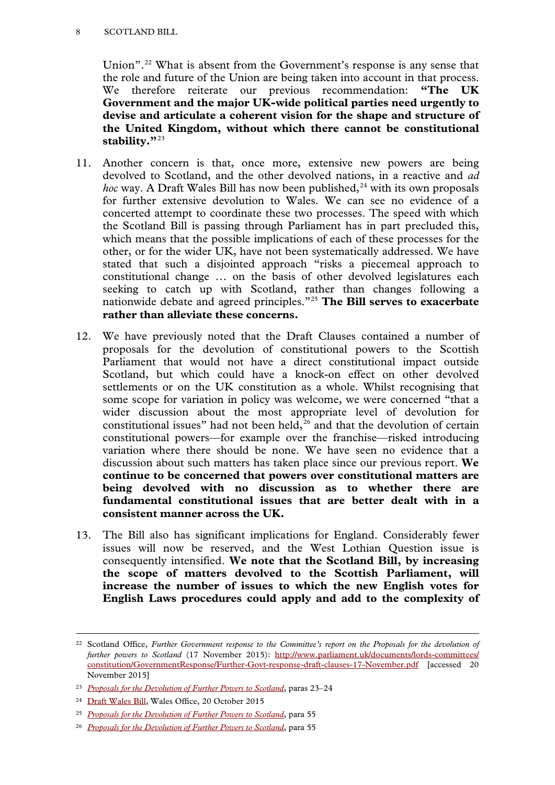Union".<sup>[22](#page-7-0)</sup> What is absent from the Government's response is any sense that the role and future of the Union are being taken into account in that process. We therefore reiterate our previous recommendation: **"The UK Government and the major UK-wide political parties need urgently to devise and articulate a coherent vision for the shape and structure of the United Kingdom, without which there cannot be constitutional**  stability."<sup>[23](#page-7-1)</sup>

- 11. Another concern is that, once more, extensive new powers are being devolved to Scotland, and the other devolved nations, in a reactive and *ad hoc* way. A Draft Wales Bill has now been published,<sup>[24](#page-7-2)</sup> with its own proposals for further extensive devolution to Wales. We can see no evidence of a concerted attempt to coordinate these two processes. The speed with which the Scotland Bill is passing through Parliament has in part precluded this, which means that the possible implications of each of these processes for the other, or for the wider UK, have not been systematically addressed. We have stated that such a disjointed approach "risks a piecemeal approach to constitutional change … on the basis of other devolved legislatures each seeking to catch up with Scotland, rather than changes following a nationwide debate and agreed principles.["25](#page-7-3) **The Bill serves to exacerbate rather than alleviate these concerns.**
- 12. We have previously noted that the Draft Clauses contained a number of proposals for the devolution of constitutional powers to the Scottish Parliament that would not have a direct constitutional impact outside Scotland, but which could have a knock-on effect on other devolved settlements or on the UK constitution as a whole. Whilst recognising that some scope for variation in policy was welcome, we were concerned "that a wider discussion about the most appropriate level of devolution for constitutional issues" had not been held, $26$  and that the devolution of certain constitutional powers—for example over the franchise—risked introducing variation where there should be none. We have seen no evidence that a discussion about such matters has taken place since our previous report. **We continue to be concerned that powers over constitutional matters are being devolved with no discussion as to whether there are fundamental constitutional issues that are better dealt with in a consistent manner across the UK.**
- 13. The Bill also has significant implications for England. Considerably fewer issues will now be reserved, and the West Lothian Question issue is consequently intensified. **We note that the Scotland Bill, by increasing the scope of matters devolved to the Scottish Parliament, will increase the number of issues to which the new English votes for English Laws procedures could apply and add to the complexity of**

<span id="page-7-0"></span> <sup>22</sup> Scotland Office, *Further Government response to the Committee's report on the Proposals for the devolution of further powers to Scotland* (17 November 2015): [http://www.parliament.uk/documents/lords-committees/](http://www.parliament.uk/documents/lords-committees/constitution/GovernmentResponse/Further-Govt-response-draft-clauses-17-November.pdf) [constitution/GovernmentResponse/Further-Govt-response-draft-clauses-17-November.pdf](http://www.parliament.uk/documents/lords-committees/constitution/GovernmentResponse/Further-Govt-response-draft-clauses-17-November.pdf) [accessed 20 November 2015]

<span id="page-7-1"></span><sup>23</sup> *[Proposals for the Devolution of Further Powers to Scotland](http://www.publications.parliament.uk/pa/ld201415/ldselect/ldconst/145/14502.htm)*, paras 23–24

<span id="page-7-2"></span><sup>24</sup> [Draft Wales Bill,](https://www.gov.uk/government/uploads/system/uploads/attachment_data/file/469392/Draft_Wales_Bill_Web__2_.pdf) Wales Office, 20 October 2015

<span id="page-7-3"></span><sup>25</sup> *[Proposals for the Devolution of Further Powers to Scotland](http://www.publications.parliament.uk/pa/ld201415/ldselect/ldconst/145/14502.htm)*, para 55

<span id="page-7-4"></span><sup>26</sup> *[Proposals for the Devolution of Further Powers to Scotland](http://www.publications.parliament.uk/pa/ld201415/ldselect/ldconst/145/14502.htm)*, para 55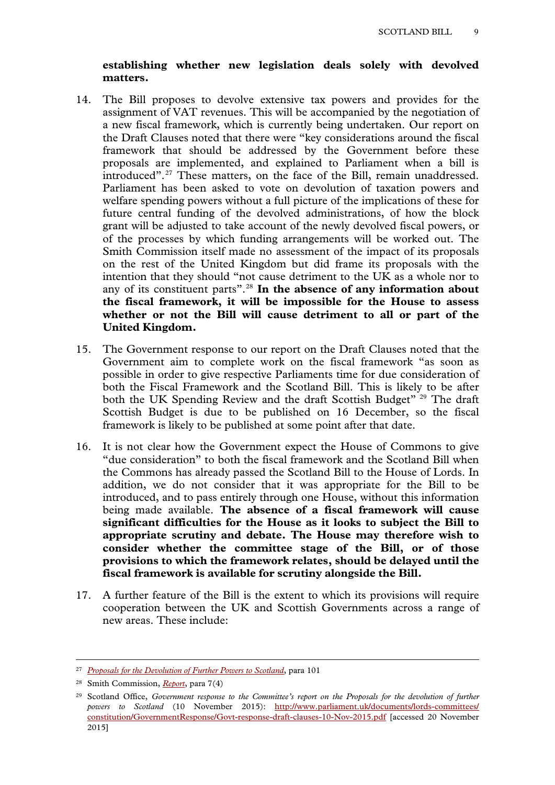## **establishing whether new legislation deals solely with devolved matters.**

- 14. The Bill proposes to devolve extensive tax powers and provides for the assignment of VAT revenues. This will be accompanied by the negotiation of a new fiscal framework, which is currently being undertaken. Our report on the Draft Clauses noted that there were "key considerations around the fiscal framework that should be addressed by the Government before these proposals are implemented, and explained to Parliament when a bill is introduced".<sup>[27](#page-8-0)</sup> These matters, on the face of the Bill, remain unaddressed. Parliament has been asked to vote on devolution of taxation powers and welfare spending powers without a full picture of the implications of these for future central funding of the devolved administrations, of how the block grant will be adjusted to take account of the newly devolved fiscal powers, or of the processes by which funding arrangements will be worked out. The Smith Commission itself made no assessment of the impact of its proposals on the rest of the United Kingdom but did frame its proposals with the intention that they should "not cause detriment to the UK as a whole nor to any of its constituent parts".[28](#page-8-1) **In the absence of any information about the fiscal framework, it will be impossible for the House to assess whether or not the Bill will cause detriment to all or part of the United Kingdom.**
- 15. The Government response to our report on the Draft Clauses noted that the Government aim to complete work on the fiscal framework "as soon as possible in order to give respective Parliaments time for due consideration of both the Fiscal Framework and the Scotland Bill. This is likely to be after both the UK Spending Review and the draft Scottish Budget" <sup>[29](#page-8-2)</sup> The draft Scottish Budget is due to be published on 16 December, so the fiscal framework is likely to be published at some point after that date.
- 16. It is not clear how the Government expect the House of Commons to give "due consideration" to both the fiscal framework and the Scotland Bill when the Commons has already passed the Scotland Bill to the House of Lords. In addition, we do not consider that it was appropriate for the Bill to be introduced, and to pass entirely through one House, without this information being made available. **The absence of a fiscal framework will cause significant difficulties for the House as it looks to subject the Bill to appropriate scrutiny and debate. The House may therefore wish to consider whether the committee stage of the Bill, or of those provisions to which the framework relates, should be delayed until the fiscal framework is available for scrutiny alongside the Bill.**
- 17. A further feature of the Bill is the extent to which its provisions will require cooperation between the UK and Scottish Governments across a range of new areas. These include:

<span id="page-8-0"></span> <sup>27</sup> *[Proposals for the Devolution of Further Powers to Scotland](http://www.publications.parliament.uk/pa/ld201415/ldselect/ldconst/145/14502.htm)*, para 101

<span id="page-8-1"></span><sup>28</sup> Smith Commission, *[Report](https://www.smith-commission.scot/wp-content/uploads/2014/11/The_Smith_Commission_Report-1.pdf)*, para 7(4)

<span id="page-8-2"></span><sup>29</sup> Scotland Office, *Government response to the Committee's report on the Proposals for the devolution of further powers to Scotland* (10 November 2015): [http://www.parliament.uk/documents/lords-committees/](http://www.parliament.uk/documents/lords-committees/constitution/GovernmentResponse/Govt-response-draft-clauses-10-Nov-2015.pdf) [constitution/GovernmentResponse/Govt-response-draft-clauses-10-Nov-2015.pdf](http://www.parliament.uk/documents/lords-committees/constitution/GovernmentResponse/Govt-response-draft-clauses-10-Nov-2015.pdf) [accessed 20 November 2015]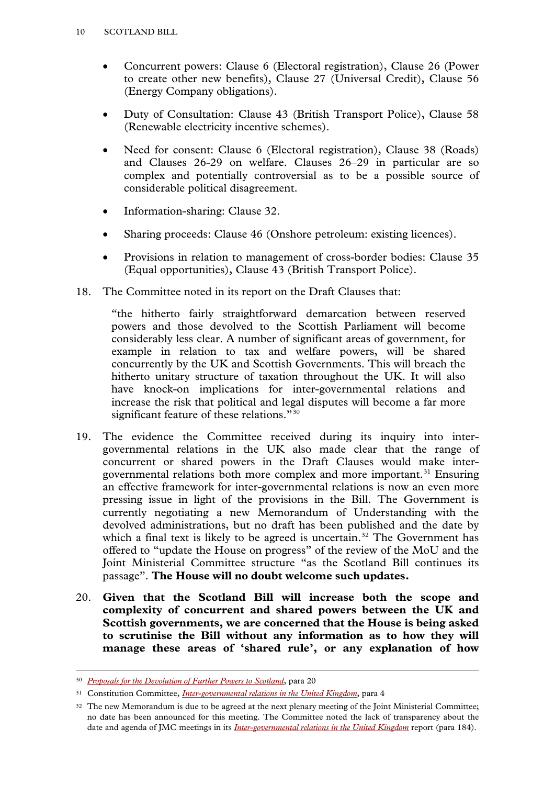- Concurrent powers: Clause 6 (Electoral registration), Clause 26 (Power to create other new benefits), Clause 27 (Universal Credit), Clause 56 (Energy Company obligations).
- Duty of Consultation: Clause 43 (British Transport Police), Clause 58 (Renewable electricity incentive schemes).
- Need for consent: Clause 6 (Electoral registration), Clause 38 (Roads) and Clauses 26-29 on welfare. Clauses 26–29 in particular are so complex and potentially controversial as to be a possible source of considerable political disagreement.
- Information-sharing: Clause 32.
- Sharing proceeds: Clause 46 (Onshore petroleum: existing licences).
- Provisions in relation to management of cross-border bodies: Clause 35 (Equal opportunities), Clause 43 (British Transport Police).
- 18. The Committee noted in its report on the Draft Clauses that:

"the hitherto fairly straightforward demarcation between reserved powers and those devolved to the Scottish Parliament will become considerably less clear. A number of significant areas of government, for example in relation to tax and welfare powers, will be shared concurrently by the UK and Scottish Governments. This will breach the hitherto unitary structure of taxation throughout the UK. It will also have knock-on implications for inter-governmental relations and increase the risk that political and legal disputes will become a far more significant feature of these relations."<sup>[30](#page-9-0)</sup>

- 19. The evidence the Committee received during its inquiry into intergovernmental relations in the UK also made clear that the range of concurrent or shared powers in the Draft Clauses would make inter-governmental relations both more complex and more important.<sup>[31](#page-9-1)</sup> Ensuring an effective framework for inter-governmental relations is now an even more pressing issue in light of the provisions in the Bill. The Government is currently negotiating a new Memorandum of Understanding with the devolved administrations, but no draft has been published and the date by which a final text is likely to be agreed is uncertain.<sup>[32](#page-9-2)</sup> The Government has offered to "update the House on progress" of the review of the MoU and the Joint Ministerial Committee structure "as the Scotland Bill continues its passage". **The House will no doubt welcome such updates.**
- 20. **Given that the Scotland Bill will increase both the scope and complexity of concurrent and shared powers between the UK and Scottish governments, we are concerned that the House is being asked to scrutinise the Bill without any information as to how they will manage these areas of 'shared rule', or any explanation of how**

<span id="page-9-0"></span> <sup>30</sup> *[Proposals for the Devolution of Further Powers to Scotland](http://www.publications.parliament.uk/pa/ld201415/ldselect/ldconst/145/14502.htm)*, para 20

<span id="page-9-1"></span><sup>31</sup> Constitution Committee, *[Inter-governmental relations in the United Kingdom](http://www.publications.parliament.uk/pa/ld201415/ldselect/ldconst/146/14602.htm)*, para 4

<span id="page-9-2"></span><sup>&</sup>lt;sup>32</sup> The new Memorandum is due to be agreed at the next plenary meeting of the Joint Ministerial Committee; no date has been announced for this meeting. The Committee noted the lack of transparency about the date and agenda of JMC meetings in its *[Inter-governmental relations in the United Kingdom](http://www.publications.parliament.uk/pa/ld201415/ldselect/ldconst/146/14602.htm)* report (para 184).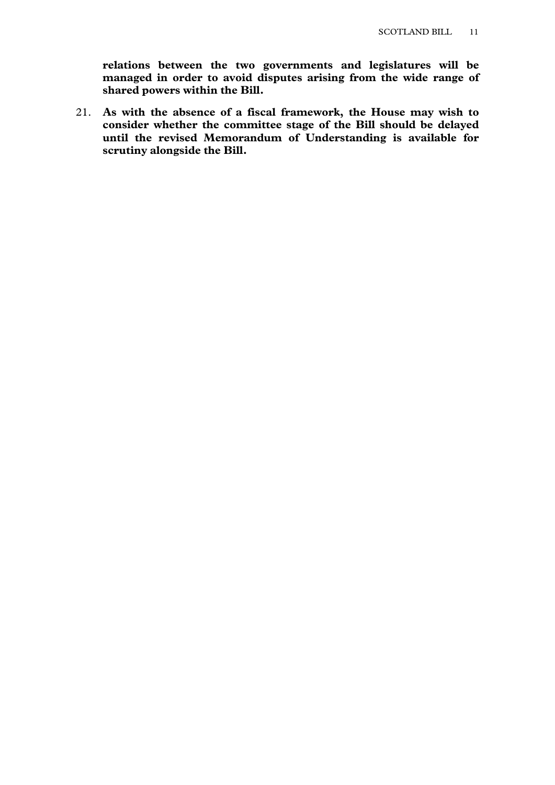**relations between the two governments and legislatures will be managed in order to avoid disputes arising from the wide range of shared powers within the Bill.**

21. **As with the absence of a fiscal framework, the House may wish to consider whether the committee stage of the Bill should be delayed until the revised Memorandum of Understanding is available for scrutiny alongside the Bill.**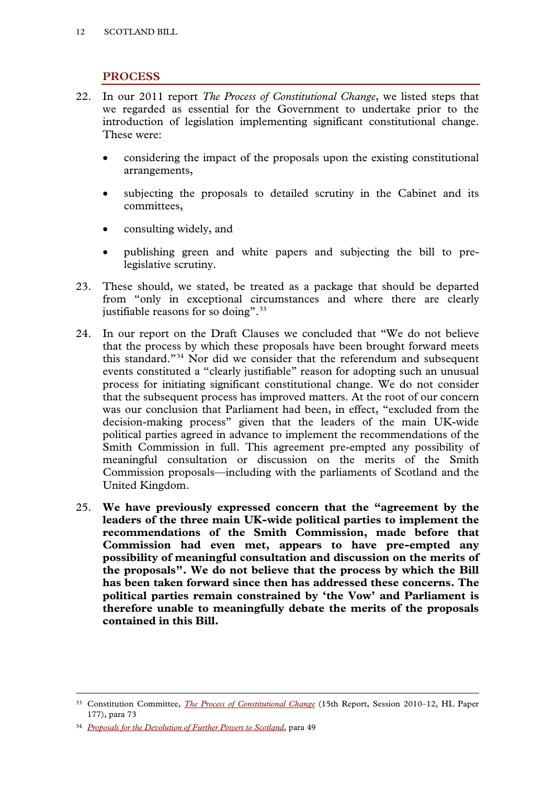### <span id="page-11-0"></span>**PROCESS**

- 22. In our 2011 report *The Process of Constitutional Change*, we listed steps that we regarded as essential for the Government to undertake prior to the introduction of legislation implementing significant constitutional change. These were:
	- considering the impact of the proposals upon the existing constitutional arrangements,
	- subjecting the proposals to detailed scrutiny in the Cabinet and its committees,
	- consulting widely, and
	- publishing green and white papers and subjecting the bill to prelegislative scrutiny.
- 23. These should, we stated, be treated as a package that should be departed from "only in exceptional circumstances and where there are clearly justifiable reasons for so doing".<sup>[33](#page-11-1)</sup>
- 24. In our report on the Draft Clauses we concluded that "We do not believe that the process by which these proposals have been brought forward meets this standard."[34](#page-11-2) Nor did we consider that the referendum and subsequent events constituted a "clearly justifiable" reason for adopting such an unusual process for initiating significant constitutional change. We do not consider that the subsequent process has improved matters. At the root of our concern was our conclusion that Parliament had been, in effect, "excluded from the decision-making process" given that the leaders of the main UK-wide political parties agreed in advance to implement the recommendations of the Smith Commission in full. This agreement pre-empted any possibility of meaningful consultation or discussion on the merits of the Smith Commission proposals—including with the parliaments of Scotland and the United Kingdom.
- 25. **We have previously expressed concern that the "agreement by the leaders of the three main UK-wide political parties to implement the recommendations of the Smith Commission, made before that Commission had even met, appears to have pre-empted any possibility of meaningful consultation and discussion on the merits of the proposals". We do not believe that the process by which the Bill has been taken forward since then has addressed these concerns. The political parties remain constrained by 'the Vow' and Parliament is therefore unable to meaningfully debate the merits of the proposals contained in this Bill.**

<span id="page-11-1"></span> <sup>33</sup> Constitution Committee, *[The Process of Constitutional Change](http://www.publications.parliament.uk/pa/ld201012/ldselect/ldconst/177/17702.htm)* (15th Report, Session 2010–12, HL Paper 177), para 73

<span id="page-11-2"></span><sup>34</sup> *[Proposals for the Devolution of Further Powers to Scotland](http://www.publications.parliament.uk/pa/ld201415/ldselect/ldconst/145/14502.htm)*, para 49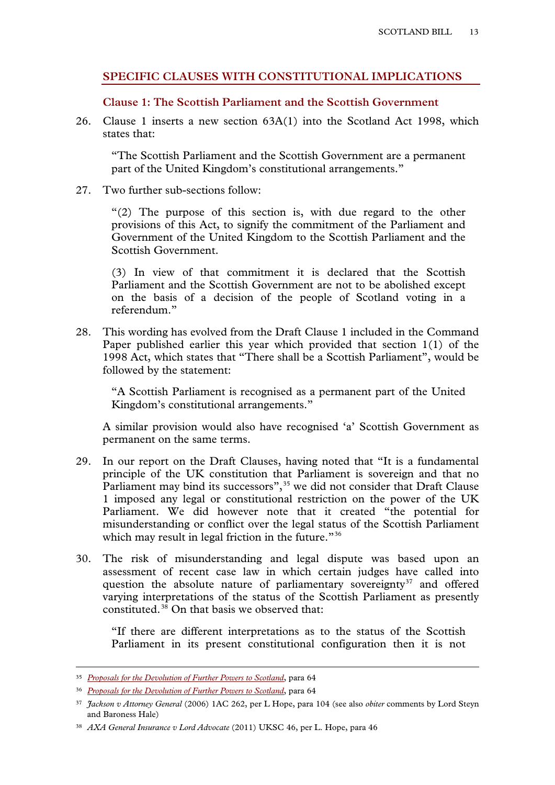## <span id="page-12-0"></span>**SPECIFIC CLAUSES WITH CONSTITUTIONAL IMPLICATIONS**

#### **Clause 1: The Scottish Parliament and the Scottish Government**

<span id="page-12-1"></span>26. Clause 1 inserts a new section 63A(1) into the Scotland Act 1998, which states that:

"The Scottish Parliament and the Scottish Government are a permanent part of the United Kingdom's constitutional arrangements."

27. Two further sub-sections follow:

"(2) The purpose of this section is, with due regard to the other provisions of this Act, to signify the commitment of the Parliament and Government of the United Kingdom to the Scottish Parliament and the Scottish Government.

(3) In view of that commitment it is declared that the Scottish Parliament and the Scottish Government are not to be abolished except on the basis of a decision of the people of Scotland voting in a referendum."

28. This wording has evolved from the Draft Clause 1 included in the Command Paper published earlier this year which provided that section 1(1) of the 1998 Act, which states that "There shall be a Scottish Parliament", would be followed by the statement:

"A Scottish Parliament is recognised as a permanent part of the United Kingdom's constitutional arrangements."

A similar provision would also have recognised 'a' Scottish Government as permanent on the same terms.

- 29. In our report on the Draft Clauses, having noted that "It is a fundamental principle of the UK constitution that Parliament is sovereign and that no Parliament may bind its successors",<sup>[35](#page-12-2)</sup> we did not consider that Draft Clause 1 imposed any legal or constitutional restriction on the power of the UK Parliament. We did however note that it created "the potential for misunderstanding or conflict over the legal status of the Scottish Parliament which may result in legal friction in the future."<sup>[36](#page-12-3)</sup>
- 30. The risk of misunderstanding and legal dispute was based upon an assessment of recent case law in which certain judges have called into question the absolute nature of parliamentary sovereignty<sup>[37](#page-12-4)</sup> and offered varying interpretations of the status of the Scottish Parliament as presently constituted. $38$  On that basis we observed that:

"If there are different interpretations as to the status of the Scottish Parliament in its present constitutional configuration then it is not

<span id="page-12-2"></span> <sup>35</sup> *[Proposals for the Devolution of Further Powers to Scotland](http://www.publications.parliament.uk/pa/ld201415/ldselect/ldconst/145/14502.htm)*, para 64

<span id="page-12-3"></span><sup>36</sup> *[Proposals for the Devolution of Further Powers to Scotland](http://www.publications.parliament.uk/pa/ld201415/ldselect/ldconst/145/14502.htm)*, para 64

<span id="page-12-4"></span><sup>37</sup> *Jackson v Attorney General* (2006) 1AC 262, per L Hope, para 104 (see also *obiter* comments by Lord Steyn and Baroness Hale)

<span id="page-12-5"></span><sup>38</sup> *AXA General Insurance v Lord Advocate* (2011) UKSC 46, per L. Hope, para 46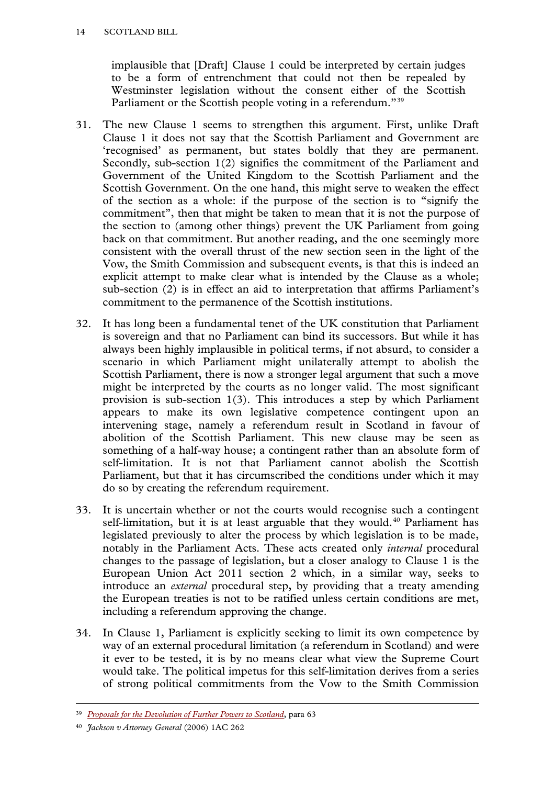implausible that [Draft] Clause 1 could be interpreted by certain judges to be a form of entrenchment that could not then be repealed by Westminster legislation without the consent either of the Scottish Parliament or the Scottish people voting in a referendum."<sup>[39](#page-13-0)</sup>

- 31. The new Clause 1 seems to strengthen this argument. First, unlike Draft Clause 1 it does not say that the Scottish Parliament and Government are 'recognised' as permanent, but states boldly that they are permanent. Secondly, sub-section 1(2) signifies the commitment of the Parliament and Government of the United Kingdom to the Scottish Parliament and the Scottish Government. On the one hand, this might serve to weaken the effect of the section as a whole: if the purpose of the section is to "signify the commitment", then that might be taken to mean that it is not the purpose of the section to (among other things) prevent the UK Parliament from going back on that commitment. But another reading, and the one seemingly more consistent with the overall thrust of the new section seen in the light of the Vow, the Smith Commission and subsequent events, is that this is indeed an explicit attempt to make clear what is intended by the Clause as a whole; sub-section (2) is in effect an aid to interpretation that affirms Parliament's commitment to the permanence of the Scottish institutions.
- 32. It has long been a fundamental tenet of the UK constitution that Parliament is sovereign and that no Parliament can bind its successors. But while it has always been highly implausible in political terms, if not absurd, to consider a scenario in which Parliament might unilaterally attempt to abolish the Scottish Parliament, there is now a stronger legal argument that such a move might be interpreted by the courts as no longer valid. The most significant provision is sub-section 1(3). This introduces a step by which Parliament appears to make its own legislative competence contingent upon an intervening stage, namely a referendum result in Scotland in favour of abolition of the Scottish Parliament. This new clause may be seen as something of a half-way house; a contingent rather than an absolute form of self-limitation. It is not that Parliament cannot abolish the Scottish Parliament, but that it has circumscribed the conditions under which it may do so by creating the referendum requirement.
- 33. It is uncertain whether or not the courts would recognise such a contingent self-limitation, but it is at least arguable that they would. $40$  Parliament has legislated previously to alter the process by which legislation is to be made, notably in the Parliament Acts. These acts created only *internal* procedural changes to the passage of legislation, but a closer analogy to Clause 1 is the European Union Act 2011 section 2 which, in a similar way, seeks to introduce an *external* procedural step, by providing that a treaty amending the European treaties is not to be ratified unless certain conditions are met, including a referendum approving the change.
- 34. In Clause 1, Parliament is explicitly seeking to limit its own competence by way of an external procedural limitation (a referendum in Scotland) and were it ever to be tested, it is by no means clear what view the Supreme Court would take. The political impetus for this self-limitation derives from a series of strong political commitments from the Vow to the Smith Commission

<span id="page-13-0"></span> <sup>39</sup> *[Proposals for the Devolution of Further Powers to Scotland](http://www.publications.parliament.uk/pa/ld201415/ldselect/ldconst/145/14502.htm)*, para 63

<span id="page-13-1"></span><sup>40</sup> *Jackson v Attorney General* (2006) 1AC 262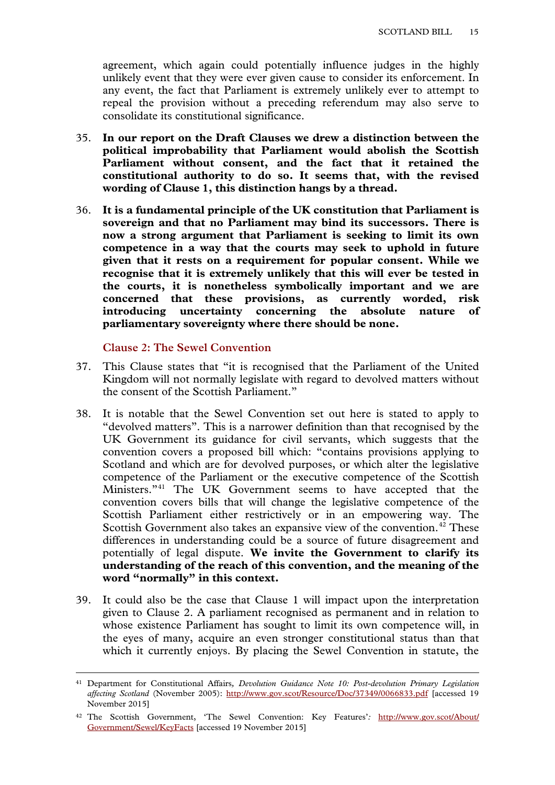agreement, which again could potentially influence judges in the highly unlikely event that they were ever given cause to consider its enforcement. In any event, the fact that Parliament is extremely unlikely ever to attempt to repeal the provision without a preceding referendum may also serve to consolidate its constitutional significance.

- 35. **In our report on the Draft Clauses we drew a distinction between the political improbability that Parliament would abolish the Scottish Parliament without consent, and the fact that it retained the constitutional authority to do so. It seems that, with the revised wording of Clause 1, this distinction hangs by a thread.**
- 36. **It is a fundamental principle of the UK constitution that Parliament is sovereign and that no Parliament may bind its successors. There is now a strong argument that Parliament is seeking to limit its own competence in a way that the courts may seek to uphold in future given that it rests on a requirement for popular consent. While we recognise that it is extremely unlikely that this will ever be tested in the courts, it is nonetheless symbolically important and we are concerned that these provisions, as currently worded, risk introducing uncertainty concerning the absolute nature of parliamentary sovereignty where there should be none.**

**Clause 2: The Sewel Convention**

- <span id="page-14-0"></span>37. This Clause states that "it is recognised that the Parliament of the United Kingdom will not normally legislate with regard to devolved matters without the consent of the Scottish Parliament."
- 38. It is notable that the Sewel Convention set out here is stated to apply to "devolved matters". This is a narrower definition than that recognised by the UK Government its guidance for civil servants, which suggests that the convention covers a proposed bill which: "contains provisions applying to Scotland and which are for devolved purposes, or which alter the legislative competence of the Parliament or the executive competence of the Scottish Ministers."[41](#page-14-1) The UK Government seems to have accepted that the convention covers bills that will change the legislative competence of the Scottish Parliament either restrictively or in an empowering way. The Scottish Government also takes an expansive view of the convention.<sup>[42](#page-14-2)</sup> These differences in understanding could be a source of future disagreement and potentially of legal dispute. **We invite the Government to clarify its understanding of the reach of this convention, and the meaning of the word "normally" in this context.**
- 39. It could also be the case that Clause 1 will impact upon the interpretation given to Clause 2. A parliament recognised as permanent and in relation to whose existence Parliament has sought to limit its own competence will, in the eyes of many, acquire an even stronger constitutional status than that which it currently enjoys. By placing the Sewel Convention in statute, the

<span id="page-14-1"></span> <sup>41</sup> Department for Constitutional Affairs*, Devolution Guidance Note 10: Post-devolution Primary Legislation affecting Scotland* (November 2005):<http://www.gov.scot/Resource/Doc/37349/0066833.pdf> [accessed 19 November 2015]

<span id="page-14-2"></span><sup>42</sup> The Scottish Government, 'The Sewel Convention: Key Features'*:* [http://www.gov.scot/About/](http://www.gov.scot/About/Government/Sewel/KeyFacts) [Government/Sewel/KeyFacts](http://www.gov.scot/About/Government/Sewel/KeyFacts) [accessed 19 November 2015]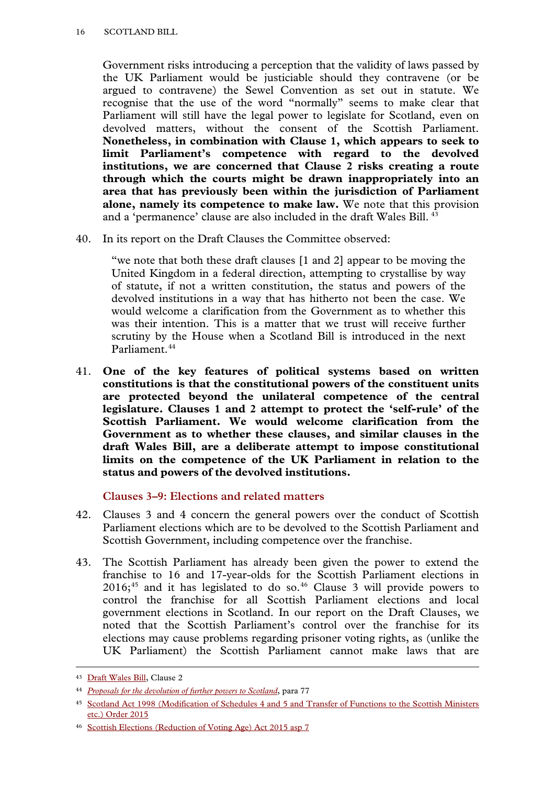Government risks introducing a perception that the validity of laws passed by the UK Parliament would be justiciable should they contravene (or be argued to contravene) the Sewel Convention as set out in statute. We recognise that the use of the word "normally" seems to make clear that Parliament will still have the legal power to legislate for Scotland, even on devolved matters, without the consent of the Scottish Parliament. **Nonetheless, in combination with Clause 1, which appears to seek to limit Parliament's competence with regard to the devolved institutions, we are concerned that Clause 2 risks creating a route through which the courts might be drawn inappropriately into an area that has previously been within the jurisdiction of Parliament alone, namely its competence to make law.** We note that this provision and a 'permanence' clause are also included in the draft Wales Bill. [43](#page-15-1)

40. In its report on the Draft Clauses the Committee observed:

"we note that both these draft clauses [1 and 2] appear to be moving the United Kingdom in a federal direction, attempting to crystallise by way of statute, if not a written constitution, the status and powers of the devolved institutions in a way that has hitherto not been the case. We would welcome a clarification from the Government as to whether this was their intention. This is a matter that we trust will receive further scrutiny by the House when a Scotland Bill is introduced in the next Parliament.<sup>[44](#page-15-2)</sup>

41. **One of the key features of political systems based on written constitutions is that the constitutional powers of the constituent units are protected beyond the unilateral competence of the central legislature. Clauses 1 and 2 attempt to protect the 'self-rule' of the Scottish Parliament. We would welcome clarification from the Government as to whether these clauses, and similar clauses in the draft Wales Bill, are a deliberate attempt to impose constitutional limits on the competence of the UK Parliament in relation to the status and powers of the devolved institutions.**

**Clauses 3–9: Elections and related matters**

- <span id="page-15-0"></span>42. Clauses 3 and 4 concern the general powers over the conduct of Scottish Parliament elections which are to be devolved to the Scottish Parliament and Scottish Government, including competence over the franchise.
- 43. The Scottish Parliament has already been given the power to extend the franchise to 16 and 17-year-olds for the Scottish Parliament elections in  $2016;^{45}$  $2016;^{45}$  $2016;^{45}$  and it has legislated to do so.<sup>[46](#page-15-4)</sup> Clause 3 will provide powers to control the franchise for all Scottish Parliament elections and local government elections in Scotland. In our report on the Draft Clauses, we noted that the Scottish Parliament's control over the franchise for its elections may cause problems regarding prisoner voting rights, as (unlike the UK Parliament) the Scottish Parliament cannot make laws that are

<span id="page-15-1"></span> <sup>43</sup> [Draft Wales Bill,](https://www.gov.uk/government/uploads/system/uploads/attachment_data/file/469392/Draft_Wales_Bill_Web__2_.pdf) Clause 2

<span id="page-15-2"></span><sup>44</sup> *[Proposals for the devolution of further powers to Scotland](http://www.publications.parliament.uk/pa/ld201415/ldselect/ldconst/145/14502.htm)*, para 77

<span id="page-15-3"></span><sup>45</sup> [Scotland Act 1998 \(Modification of Schedules 4 and 5 and Transfer of Functions to the Scottish Ministers](http://www.legislation.gov.uk/ukdsi/2015/9780111127551)  [etc.\) Order 2015](http://www.legislation.gov.uk/ukdsi/2015/9780111127551)

<span id="page-15-4"></span><sup>46</sup> [Scottish Elections \(Reduction of Voting Age\) Act 2015 asp 7](http://www.legislation.gov.uk/asp/2015/7/contents/enacted)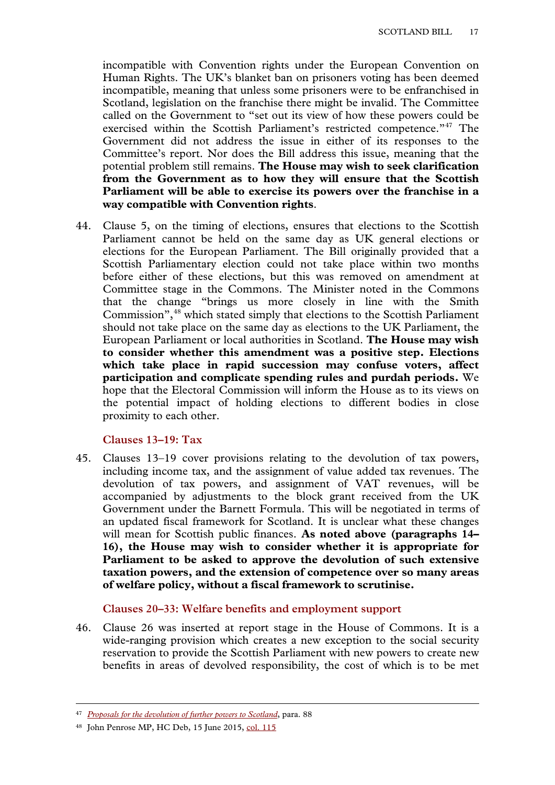incompatible with Convention rights under the European Convention on Human Rights. The UK's blanket ban on prisoners voting has been deemed incompatible, meaning that unless some prisoners were to be enfranchised in Scotland, legislation on the franchise there might be invalid. The Committee called on the Government to "set out its view of how these powers could be exercised within the Scottish Parliament's restricted competence."[47](#page-16-2) The Government did not address the issue in either of its responses to the Committee's report. Nor does the Bill address this issue, meaning that the potential problem still remains. **The House may wish to seek clarification from the Government as to how they will ensure that the Scottish Parliament will be able to exercise its powers over the franchise in a way compatible with Convention rights**.

44. Clause 5, on the timing of elections, ensures that elections to the Scottish Parliament cannot be held on the same day as UK general elections or elections for the European Parliament. The Bill originally provided that a Scottish Parliamentary election could not take place within two months before either of these elections, but this was removed on amendment at Committee stage in the Commons. The Minister noted in the Commons that the change "brings us more closely in line with the Smith Commission",<sup>[48](#page-16-3)</sup> which stated simply that elections to the Scottish Parliament should not take place on the same day as elections to the UK Parliament, the European Parliament or local authorities in Scotland. **The House may wish to consider whether this amendment was a positive step. Elections which take place in rapid succession may confuse voters, affect participation and complicate spending rules and purdah periods.** We hope that the Electoral Commission will inform the House as to its views on the potential impact of holding elections to different bodies in close proximity to each other.

# **Clauses 13–19: Tax**

<span id="page-16-0"></span>45. Clauses 13–19 cover provisions relating to the devolution of tax powers, including income tax, and the assignment of value added tax revenues. The devolution of tax powers, and assignment of VAT revenues, will be accompanied by adjustments to the block grant received from the UK Government under the Barnett Formula. This will be negotiated in terms of an updated fiscal framework for Scotland. It is unclear what these changes will mean for Scottish public finances. **As noted above (paragraphs 14– 16), the House may wish to consider whether it is appropriate for Parliament to be asked to approve the devolution of such extensive taxation powers, and the extension of competence over so many areas of welfare policy, without a fiscal framework to scrutinise.**

### **Clauses 20–33: Welfare benefits and employment support**

<span id="page-16-1"></span>46. Clause 26 was inserted at report stage in the House of Commons. It is a wide-ranging provision which creates a new exception to the social security reservation to provide the Scottish Parliament with new powers to create new benefits in areas of devolved responsibility, the cost of which is to be met

<span id="page-16-2"></span> <sup>47</sup> *[Proposals for the devolution of further powers to Scotland](http://www.publications.parliament.uk/pa/ld201415/ldselect/ldconst/145/14502.htm)*, para. 88

<span id="page-16-3"></span><sup>48</sup> John Penrose MP, HC Deb, 15 June 2015[, col. 115](http://www.publications.parliament.uk/pa/cm201516/cmhansrd/cm150615/debtext/150615-0003.htm)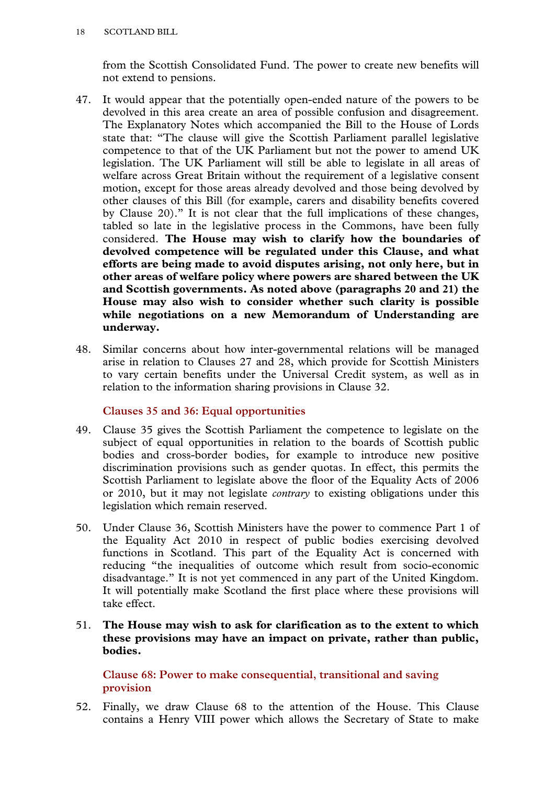#### 18 SCOTLAND BILL

from the Scottish Consolidated Fund. The power to create new benefits will not extend to pensions.

- 47. It would appear that the potentially open-ended nature of the powers to be devolved in this area create an area of possible confusion and disagreement. The Explanatory Notes which accompanied the Bill to the House of Lords state that: "The clause will give the Scottish Parliament parallel legislative competence to that of the UK Parliament but not the power to amend UK legislation. The UK Parliament will still be able to legislate in all areas of welfare across Great Britain without the requirement of a legislative consent motion, except for those areas already devolved and those being devolved by other clauses of this Bill (for example, carers and disability benefits covered by Clause 20)." It is not clear that the full implications of these changes, tabled so late in the legislative process in the Commons, have been fully considered. **The House may wish to clarify how the boundaries of devolved competence will be regulated under this Clause, and what efforts are being made to avoid disputes arising, not only here, but in other areas of welfare policy where powers are shared between the UK and Scottish governments. As noted above (paragraphs 20 and 21) the House may also wish to consider whether such clarity is possible while negotiations on a new Memorandum of Understanding are underway.**
- 48. Similar concerns about how inter-governmental relations will be managed arise in relation to Clauses 27 and 28, which provide for Scottish Ministers to vary certain benefits under the Universal Credit system, as well as in relation to the information sharing provisions in Clause 32.

# **Clauses 35 and 36: Equal opportunities**

- <span id="page-17-0"></span>49. Clause 35 gives the Scottish Parliament the competence to legislate on the subject of equal opportunities in relation to the boards of Scottish public bodies and cross-border bodies, for example to introduce new positive discrimination provisions such as gender quotas. In effect, this permits the Scottish Parliament to legislate above the floor of the Equality Acts of 2006 or 2010, but it may not legislate *contrary* to existing obligations under this legislation which remain reserved.
- 50. Under Clause 36, Scottish Ministers have the power to commence Part 1 of the Equality Act 2010 in respect of public bodies exercising devolved functions in Scotland. This part of the Equality Act is concerned with reducing "the inequalities of outcome which result from socio-economic disadvantage." It is not yet commenced in any part of the United Kingdom. It will potentially make Scotland the first place where these provisions will take effect.
- 51. **The House may wish to ask for clarification as to the extent to which these provisions may have an impact on private, rather than public, bodies.**

<span id="page-17-1"></span>**Clause 68: Power to make consequential, transitional and saving provision**

52. Finally, we draw Clause 68 to the attention of the House. This Clause contains a Henry VIII power which allows the Secretary of State to make